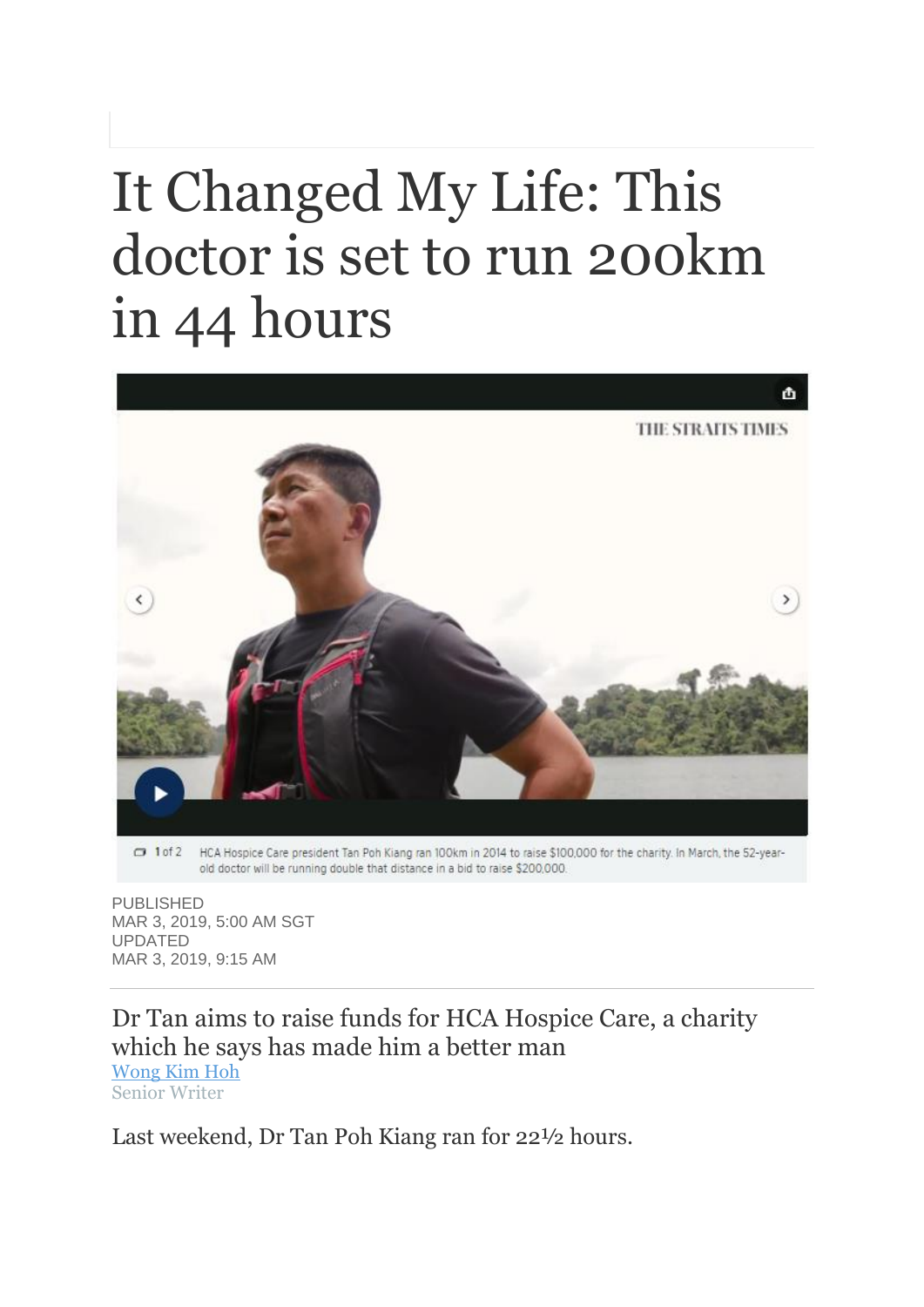## It Changed My Life: This doctor is set to run 200km in 44 hours



old doctor will be running double that distance in a bid to raise \$200,000.

PUBLISHED MAR 3, 2019, 5:00 AM SGT UPDATED MAR 3, 2019, 9:15 AM

Dr Tan aims to raise funds for HCA Hospice Care, a charity which he says has made him a better man [Wong Kim Hoh](https://www.straitstimes.com/authors/wong-kim-hoh) Senior Writer

Last weekend, Dr Tan Poh Kiang ran for 22½ hours.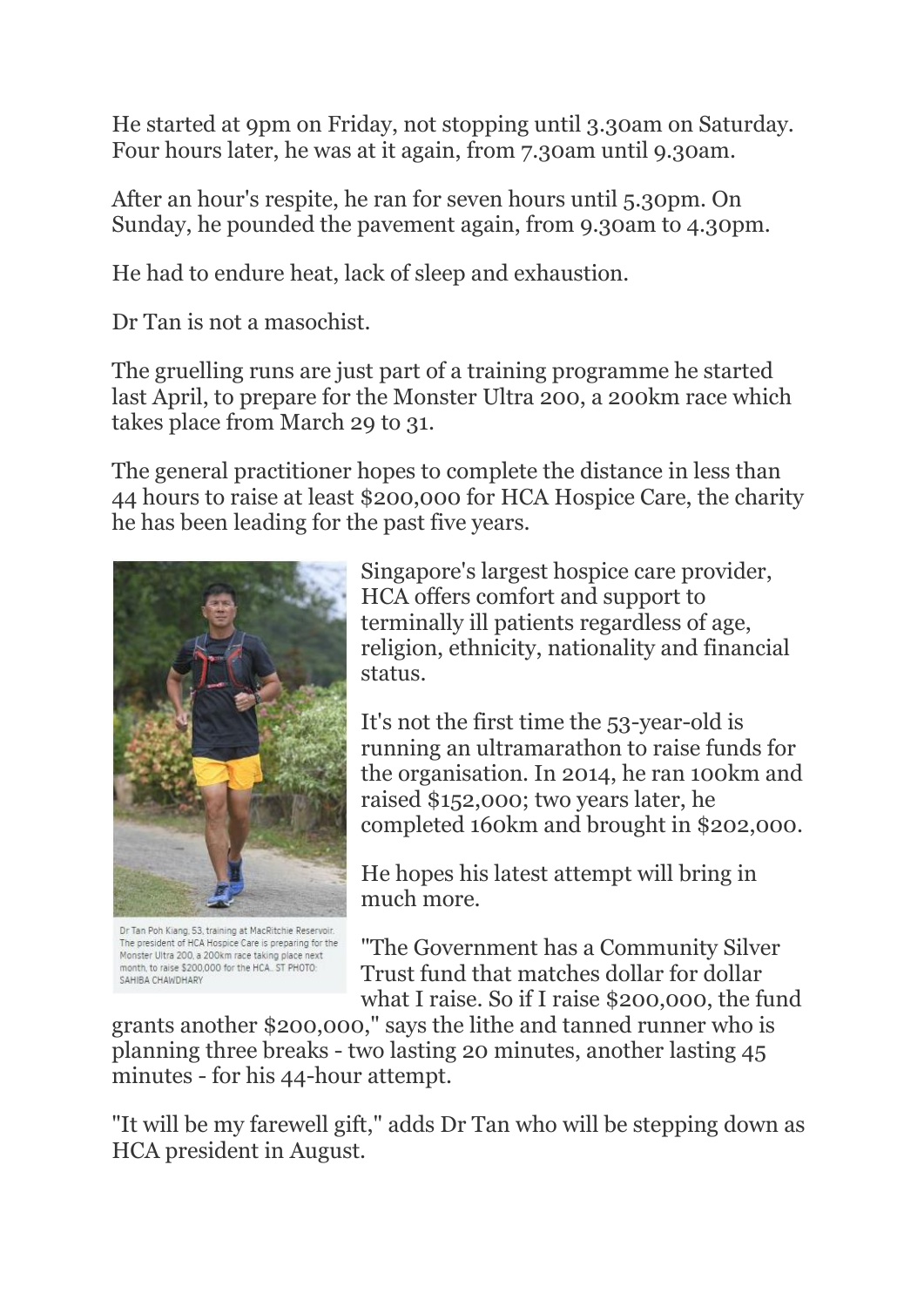He started at 9pm on Friday, not stopping until 3.30am on Saturday. Four hours later, he was at it again, from 7.30am until 9.30am.

After an hour's respite, he ran for seven hours until 5.30pm. On Sunday, he pounded the pavement again, from 9.30am to 4.30pm.

He had to endure heat, lack of sleep and exhaustion.

Dr Tan is not a masochist.

The gruelling runs are just part of a training programme he started last April, to prepare for the Monster Ultra 200, a 200km race which takes place from March 29 to 31.

The general practitioner hopes to complete the distance in less than 44 hours to raise at least \$200,000 for HCA Hospice Care, the charity he has been leading for the past five years.



Dr Tan Poh Kiang, 53, training at MacRitchie Reservoir. The president of HCA Hospice Care is preparing for the Monster Ultra 200, a 200km race taking place next month, to raise \$200,000 for the HCA.. ST PHOTO: SAHIBA CHAWDHARY

Singapore's largest hospice care provider, HCA offers comfort and support to terminally ill patients regardless of age, religion, ethnicity, nationality and financial status.

It's not the first time the 53-year-old is running an ultramarathon to raise funds for the organisation. In 2014, he ran 100km and raised \$152,000; two years later, he completed 160km and brought in \$202,000.

He hopes his latest attempt will bring in much more.

"The Government has a Community Silver Trust fund that matches dollar for dollar what I raise. So if I raise \$200,000, the fund

grants another \$200,000," says the lithe and tanned runner who is planning three breaks - two lasting 20 minutes, another lasting 45 minutes - for his 44-hour attempt.

"It will be my farewell gift," adds Dr Tan who will be stepping down as HCA president in August.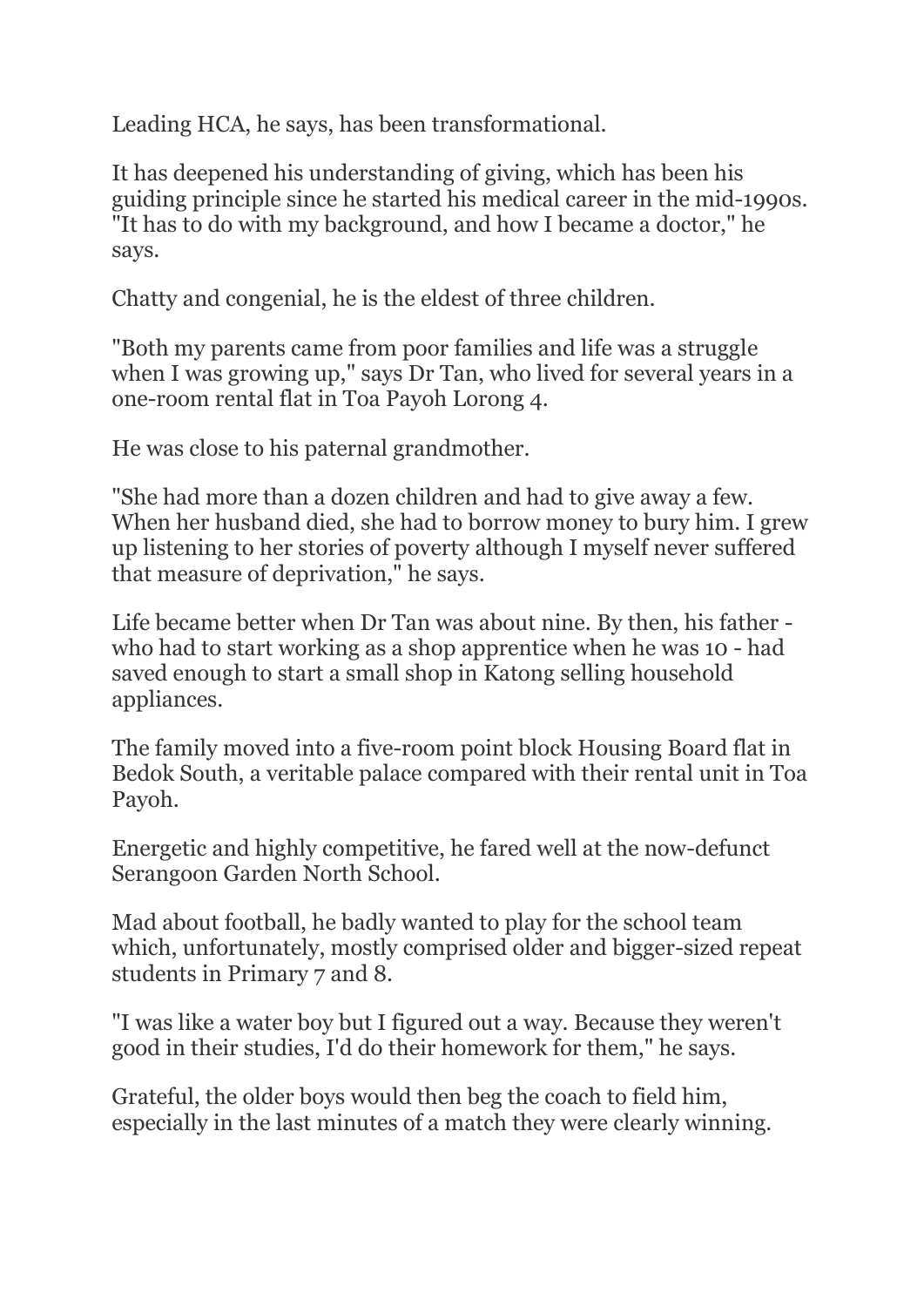Leading HCA, he says, has been transformational.

It has deepened his understanding of giving, which has been his guiding principle since he started his medical career in the mid-1990s. "It has to do with my background, and how I became a doctor," he says.

Chatty and congenial, he is the eldest of three children.

"Both my parents came from poor families and life was a struggle when I was growing up," says Dr Tan, who lived for several years in a one-room rental flat in Toa Payoh Lorong 4.

He was close to his paternal grandmother.

"She had more than a dozen children and had to give away a few. When her husband died, she had to borrow money to bury him. I grew up listening to her stories of poverty although I myself never suffered that measure of deprivation," he says.

Life became better when Dr Tan was about nine. By then, his father who had to start working as a shop apprentice when he was 10 - had saved enough to start a small shop in Katong selling household appliances.

The family moved into a five-room point block Housing Board flat in Bedok South, a veritable palace compared with their rental unit in Toa Payoh.

Energetic and highly competitive, he fared well at the now-defunct Serangoon Garden North School.

Mad about football, he badly wanted to play for the school team which, unfortunately, mostly comprised older and bigger-sized repeat students in Primary 7 and 8.

"I was like a water boy but I figured out a way. Because they weren't good in their studies, I'd do their homework for them," he says.

Grateful, the older boys would then beg the coach to field him, especially in the last minutes of a match they were clearly winning.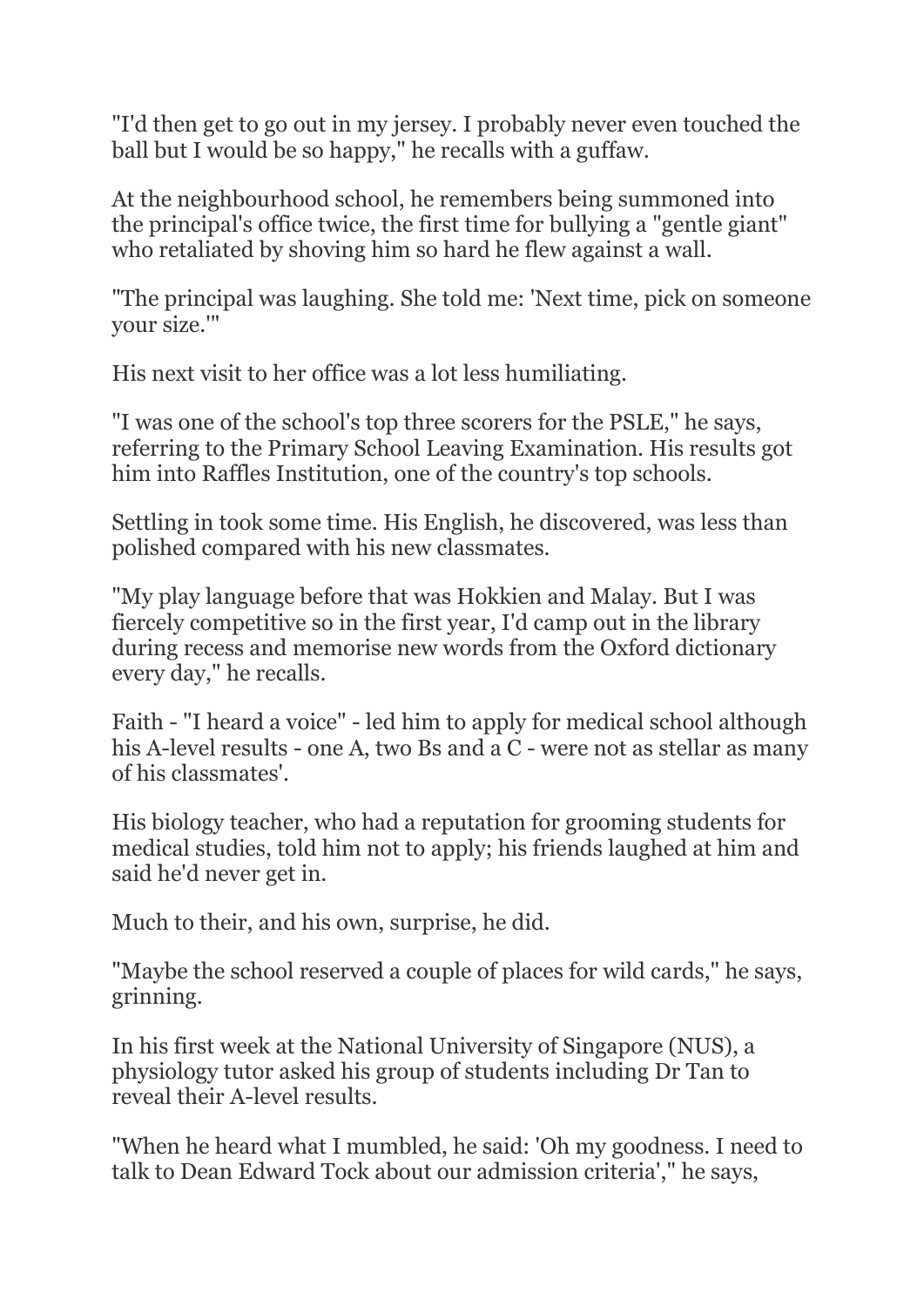"I'd then get to go out in my jersey. I probably never even touched the ball but I would be so happy," he recalls with a guffaw.

At the neighbourhood school, he remembers being summoned into the principal's office twice, the first time for bullying a "gentle giant" who retaliated by shoving him so hard he flew against a wall.

"The principal was laughing. She told me: 'Next time, pick on someone your size.'"

His next visit to her office was a lot less humiliating.

"I was one of the school's top three scorers for the PSLE," he says, referring to the Primary School Leaving Examination. His results got him into Raffles Institution, one of the country's top schools.

Settling in took some time. His English, he discovered, was less than polished compared with his new classmates.

"My play language before that was Hokkien and Malay. But I was fiercely competitive so in the first year, I'd camp out in the library during recess and memorise new words from the Oxford dictionary every day," he recalls.

Faith - "I heard a voice" - led him to apply for medical school although his A-level results - one A, two Bs and a C - were not as stellar as many of his classmates'.

His biology teacher, who had a reputation for grooming students for medical studies, told him not to apply; his friends laughed at him and said he'd never get in.

Much to their, and his own, surprise, he did.

"Maybe the school reserved a couple of places for wild cards," he says, grinning.

In his first week at the National University of Singapore (NUS), a physiology tutor asked his group of students including Dr Tan to reveal their A-level results.

"When he heard what I mumbled, he said: 'Oh my goodness. I need to talk to Dean Edward Tock about our admission criteria'," he says,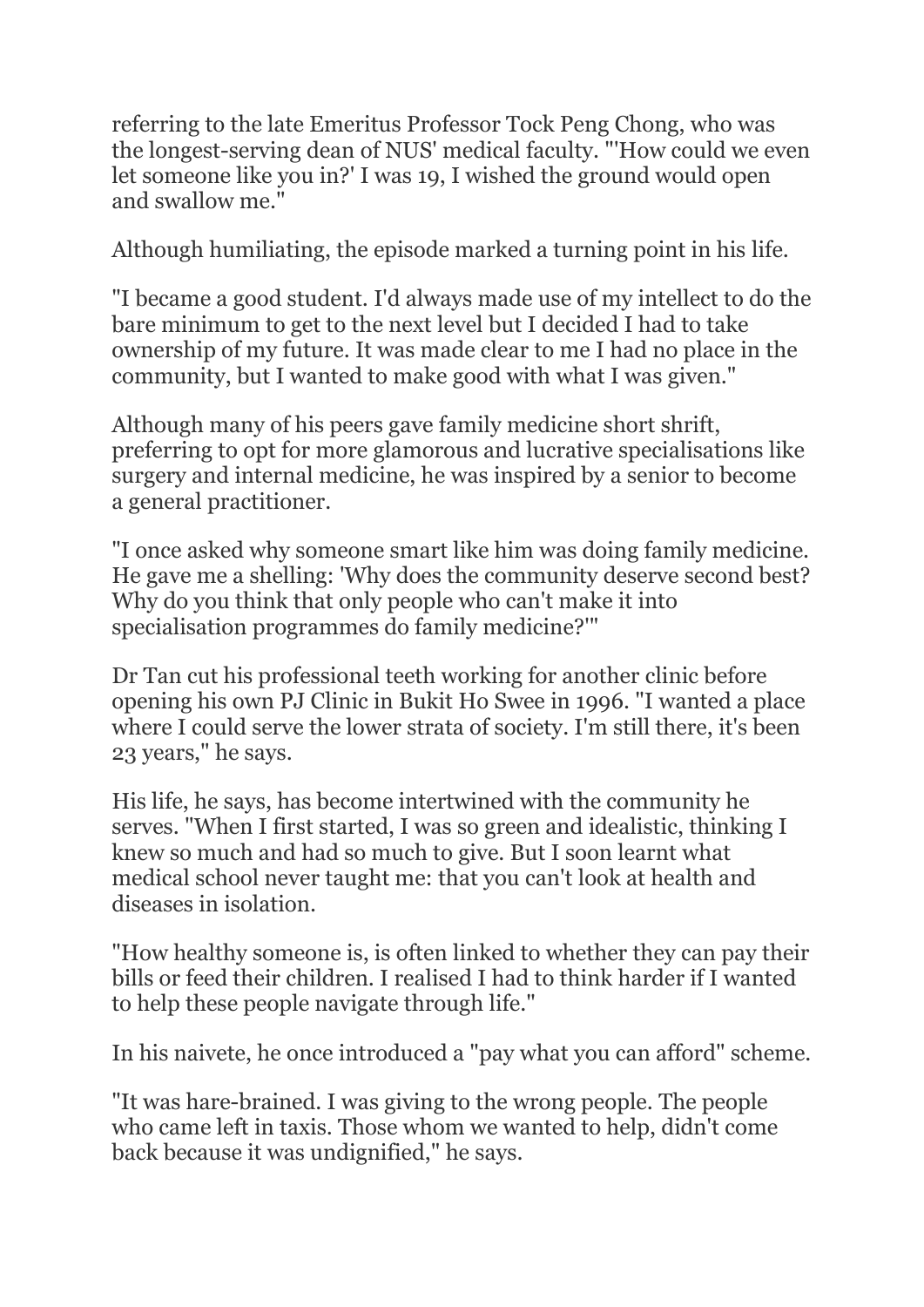referring to the late Emeritus Professor Tock Peng Chong, who was the longest-serving dean of NUS' medical faculty. "'How could we even let someone like you in?' I was 19, I wished the ground would open and swallow me."

Although humiliating, the episode marked a turning point in his life.

"I became a good student. I'd always made use of my intellect to do the bare minimum to get to the next level but I decided I had to take ownership of my future. It was made clear to me I had no place in the community, but I wanted to make good with what I was given."

Although many of his peers gave family medicine short shrift, preferring to opt for more glamorous and lucrative specialisations like surgery and internal medicine, he was inspired by a senior to become a general practitioner.

"I once asked why someone smart like him was doing family medicine. He gave me a shelling: 'Why does the community deserve second best? Why do you think that only people who can't make it into specialisation programmes do family medicine?'"

Dr Tan cut his professional teeth working for another clinic before opening his own PJ Clinic in Bukit Ho Swee in 1996. "I wanted a place where I could serve the lower strata of society. I'm still there, it's been 23 years," he says.

His life, he says, has become intertwined with the community he serves. "When I first started, I was so green and idealistic, thinking I knew so much and had so much to give. But I soon learnt what medical school never taught me: that you can't look at health and diseases in isolation.

"How healthy someone is, is often linked to whether they can pay their bills or feed their children. I realised I had to think harder if I wanted to help these people navigate through life."

In his naivete, he once introduced a "pay what you can afford" scheme.

"It was hare-brained. I was giving to the wrong people. The people who came left in taxis. Those whom we wanted to help, didn't come back because it was undignified," he says.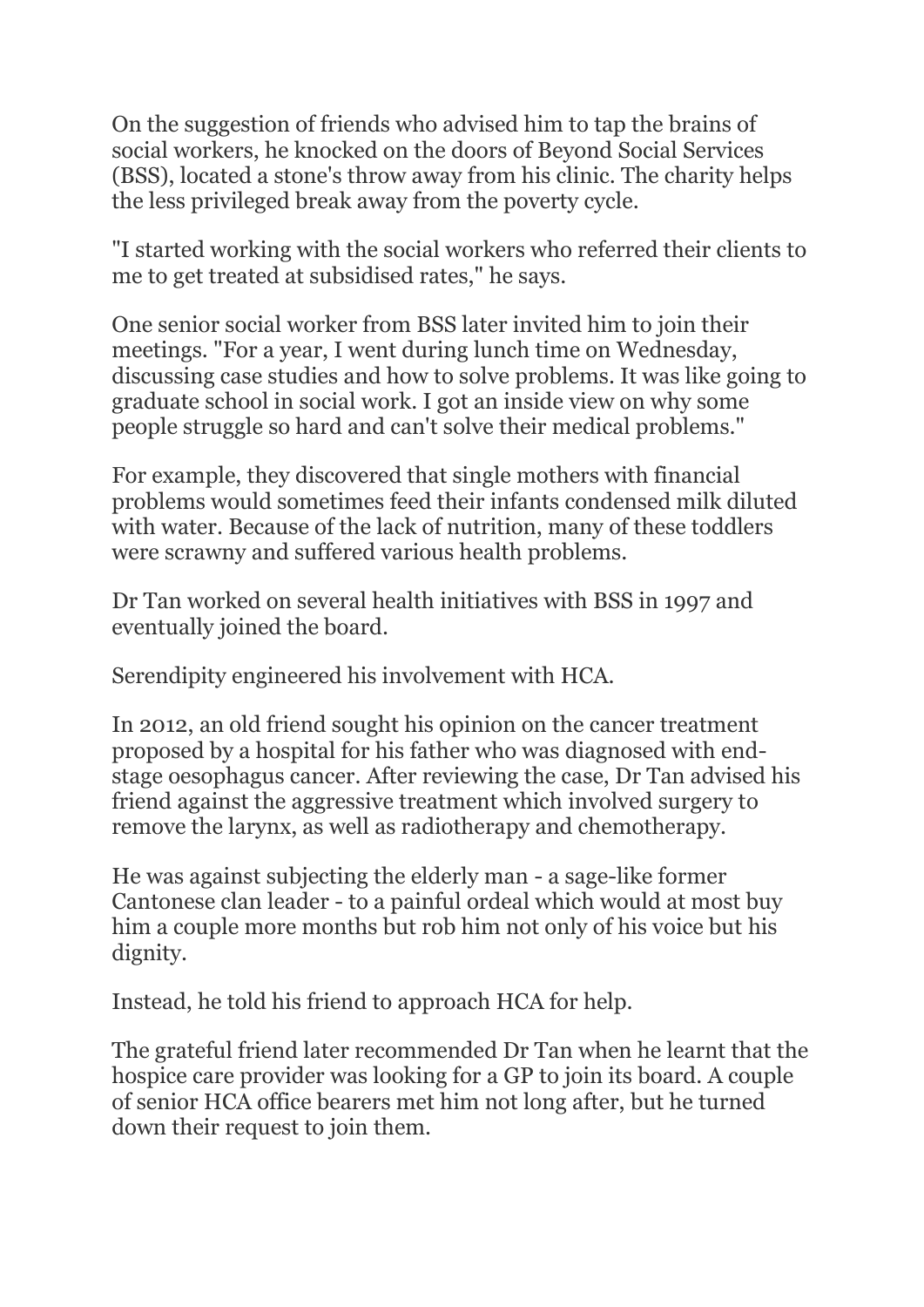On the suggestion of friends who advised him to tap the brains of social workers, he knocked on the doors of Beyond Social Services (BSS), located a stone's throw away from his clinic. The charity helps the less privileged break away from the poverty cycle.

"I started working with the social workers who referred their clients to me to get treated at subsidised rates," he says.

One senior social worker from BSS later invited him to join their meetings. "For a year, I went during lunch time on Wednesday, discussing case studies and how to solve problems. It was like going to graduate school in social work. I got an inside view on why some people struggle so hard and can't solve their medical problems."

For example, they discovered that single mothers with financial problems would sometimes feed their infants condensed milk diluted with water. Because of the lack of nutrition, many of these toddlers were scrawny and suffered various health problems.

Dr Tan worked on several health initiatives with BSS in 1997 and eventually joined the board.

Serendipity engineered his involvement with HCA.

In 2012, an old friend sought his opinion on the cancer treatment proposed by a hospital for his father who was diagnosed with endstage oesophagus cancer. After reviewing the case, Dr Tan advised his friend against the aggressive treatment which involved surgery to remove the larynx, as well as radiotherapy and chemotherapy.

He was against subjecting the elderly man - a sage-like former Cantonese clan leader - to a painful ordeal which would at most buy him a couple more months but rob him not only of his voice but his dignity.

Instead, he told his friend to approach HCA for help.

The grateful friend later recommended Dr Tan when he learnt that the hospice care provider was looking for a GP to join its board. A couple of senior HCA office bearers met him not long after, but he turned down their request to join them.